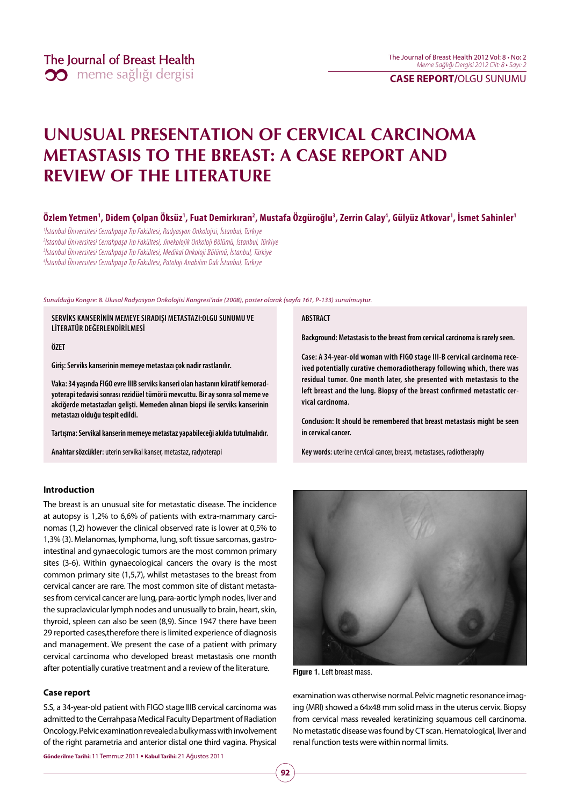### **CASE REPORT/**OLGU SUNUMU

# **UNUSUAL PRESENTATION OF CERVICAL CARCINOMA METASTASIS TO THE BREAST: A CASE REPORT AND REVIEW OF THE LITERATURE**

### Özlem Yetmen<sup>1</sup>, Didem Çolpan Öksüz<sup>1</sup>, Fuat Demirkıran<sup>2</sup>, Mustafa Özgüroğlu<sup>3</sup>, Zerrin Calay<sup>4</sup>, Gülyüz Atkovar<sup>1</sup>, İsmet Sahinler<sup>1</sup>

 İstanbul Üniversitesi Cerrahpaşa Tıp Fakültesi, Radyasyon Onkolojisi, İstanbul, Türkiye İstanbul Üniversitesi Cerrahpaşa Tıp Fakültesi, Jinekolojik Onkoloji Bölümü, İstanbul, Türkiye <sup>3</sup>İstanbul Üniversitesi Cerrahpaşa Tıp Fakültesi, Medikal Onkoloji Bölümü, İstanbul, Türkiye İstanbul Üniversitesi Cerrahpaşa Tıp Fakültesi, Patoloji Anabilim Dalı İstanbul, Türkiye

Sunulduğu Kongre: 8. Ulusal Radyasyon Onkolojisi Kongresi'nde (2008), poster olarak (sayfa 161, P-133) sunulmuştur.

**SERVİKS KANSERİNİN MEMEYE SIRADIŞI METASTAZI:OLGU SUNUMU VE LİTERATÜR DEĞERLENDİRİLMESİ**

**ÖZET** 

**Giriş: Serviks kanserinin memeye metastazı çok nadir rastlanılır.** 

**Vaka: 34 yaşında FIGO evre IIIB serviks kanseri olan hastanın küratif kemoradyoterapi tedavisi sonrası rezidüel tümörü mevcuttu. Bir ay sonra sol meme ve akciğerde metastazları gelişti. Memeden alınan biopsi ile serviks kanserinin metastazı olduğu tespit edildi.** 

**Tartışma: Servikal kanserin memeye metastaz yapabileceği akılda tutulmalıdır.**

**Anahtar sözcükler:** uterin servikal kanser, metastaz, radyoterapi

### **Introduction**

The breast is an unusual site for metastatic disease. The incidence at autopsy is 1,2% to 6,6% of patients with extra-mammary carcinomas (1,2) however the clinical observed rate is lower at 0,5% to 1,3% (3). Melanomas, lymphoma, lung, soft tissue sarcomas, gastrointestinal and gynaecologic tumors are the most common primary sites (3-6). Within gynaecological cancers the ovary is the most common primary site (1,5,7), whilst metastases to the breast from cervical cancer are rare. The most common site of distant metastases from cervical cancer are lung, para-aortic lymph nodes, liver and the supraclavicular lymph nodes and unusually to brain, heart, skin, thyroid, spleen can also be seen (8,9). Since 1947 there have been 29 reported cases,therefore there is limited experience of diagnosis and management. We present the case of a patient with primary cervical carcinoma who developed breast metastasis one month after potentially curative treatment and a review of the literature.

### **Case report**

S.S, a 34-year-old patient with FIGO stage IIIB cervical carcinoma was admitted to the Cerrahpasa Medical Faculty Department of Radiation Oncology. Pelvic examination revealed a bulky mass with involvement of the right parametria and anterior distal one third vagina. Physical

**Gönderilme Tarihi:** 11 Temmuz 2011 y **Kabul Tarihi:** 21 Ağustos 2011

#### **ABSTRACT**

**Background: Metastasis to the breast from cervical carcinoma is rarely seen.**

**Case: A 34-year-old woman with FIGO stage III-B cervical carcinoma received potentially curative chemoradiotherapy following which, there was residual tumor. One month later, she presented with metastasis to the left breast and the lung. Biopsy of the breast confirmed metastatic cervical carcinoma.**

**Conclusion: It should be remembered that breast metastasis might be seen in cervical cancer.**

**Key words:** uterine cervical cancer, breast, metastases, radiotheraphy



**Figure 1.** Left breast mass.

examination was otherwise normal. Pelvic magnetic resonance imaging (MRI) showed a 64x48 mm solid mass in the uterus cervix. Biopsy from cervical mass revealed keratinizing squamous cell carcinoma. No metastatic disease was found by CT scan. Hematological, liver and renal function tests were within normal limits.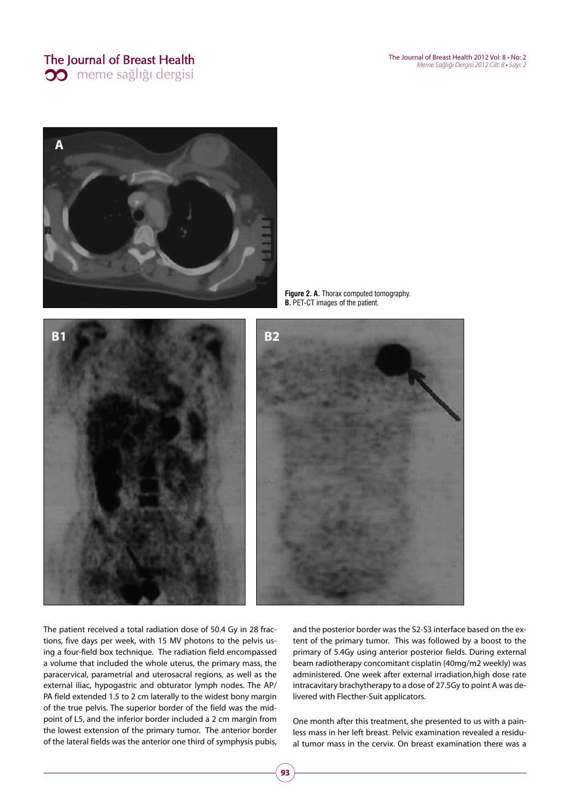# The Journal of Breast Health **33** meme sağlığı dergisi



**B1 B2** 

**Figure 2. A.** Thorax computed tomography. **B.** PET-CT images of the patient.

The patient received a total radiation dose of 50.4 Gy in 28 fractions, five days per week, with 15 MV photons to the pelvis using a four-field box technique. The radiation field encompassed a volume that included the whole uterus, the primary mass, the paracervical, parametrial and uterosacral regions, as well as the external iliac, hypogastric and obturator lymph nodes. The AP/ PA field extended 1.5 to 2 cm laterally to the widest bony margin of the true pelvis. The superior border of the field was the midpoint of L5, and the inferior border included a 2 cm margin from the lowest extension of the primary tumor. The anterior border of the lateral fields was the anterior one third of symphysis pubis, and the posterior border was the S2-S3 interface based on the extent of the primary tumor. This was followed by a boost to the primary of 5.4Gy using anterior posterior fields. During external beam radiotherapy concomitant cisplatin (40mg/m2 weekly) was administered. One week after external irradiation,high dose rate intracavitary brachytherapy to a dose of 27.5Gy to point A was delivered with Flecther-Suit applicators.

One month after this treatment, she presented to us with a painless mass in her left breast. Pelvic examination revealed a residual tumor mass in the cervix. On breast examination there was a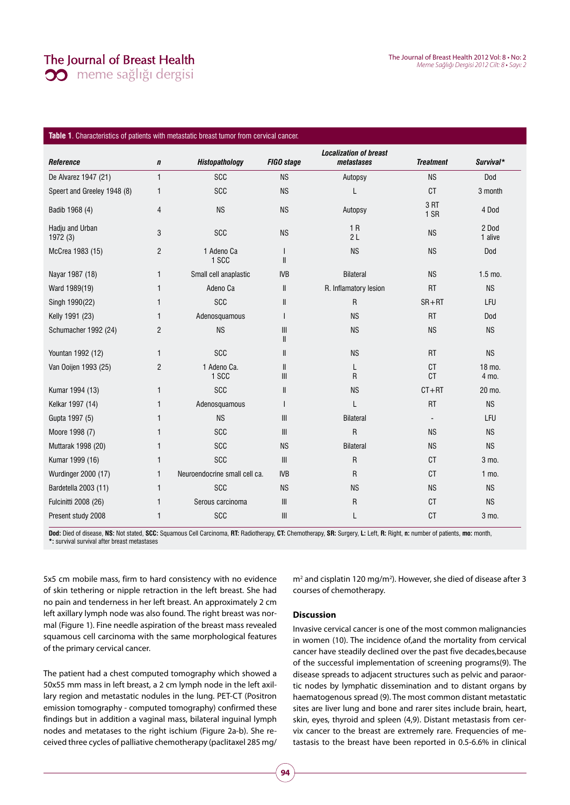## The Journal of Breast Health

The Journal of Breast Health 2012 Vol: 8 • No: 2 Meme Sağlığı Dergisi 2012 Cilt: 8 • Sayı: 2

**30** meme sağlığı dergisi

#### **Table 1**. Characteristics of patients with metastatic breast tumor from cervical cancer.

|                             |                |                               |                                | <b>Localization of breast</b> |                        |                  |
|-----------------------------|----------------|-------------------------------|--------------------------------|-------------------------------|------------------------|------------------|
| Reference                   | $\mathbf n$    | Histopathology                | FIGO stage                     | metastases                    | <b>Treatment</b>       | Survival*        |
| De Alvarez 1947 (21)        | $\mathbf{1}$   | <b>SCC</b>                    | <b>NS</b>                      | Autopsy                       | <b>NS</b>              | Dod              |
| Speert and Greeley 1948 (8) | 1              | <b>SCC</b>                    | <b>NS</b>                      | L                             | <b>CT</b>              | 3 month          |
| Badib 1968 (4)              | 4              | <b>NS</b>                     | <b>NS</b>                      | Autopsy                       | 3RT<br>1 SR            | 4 Dod            |
| Hadju and Urban<br>1972 (3) | 3              | SCC                           | <b>NS</b>                      | 1R<br>2L                      | <b>NS</b>              | 2 Dod<br>1 alive |
| McCrea 1983 (15)            | $\overline{2}$ | 1 Adeno Ca<br>1 SCC           | $\mathsf{I}$<br>$\mathsf{I}$   | <b>NS</b>                     | <b>NS</b>              | Dod              |
| Nayar 1987 (18)             | 1              | Small cell anaplastic         | <b>IVB</b>                     | <b>Bilateral</b>              | <b>NS</b>              | $1.5$ mo.        |
| Ward 1989(19)               | 1              | Adeno Ca                      | Ш                              | R. Inflamatory lesion         | <b>RT</b>              | <b>NS</b>        |
| Singh 1990(22)              | 1              | <b>SCC</b>                    | Ш                              | $\mathsf{R}$                  | $SR + RT$              | LFU              |
| Kelly 1991 (23)             | 1              | Adenosquamous                 | $\mathsf{I}$                   | <b>NS</b>                     | <b>RT</b>              | Dod              |
| Schumacher 1992 (24)        | 2              | <b>NS</b>                     | $\mathbf{III}$<br>Ш            | <b>NS</b>                     | <b>NS</b>              | <b>NS</b>        |
| Yountan 1992 (12)           | $\mathbf{1}$   | <b>SCC</b>                    | $\mathbf{I}$                   | <b>NS</b>                     | <b>RT</b>              | <b>NS</b>        |
| Van Ooijen 1993 (25)        | $\overline{c}$ | 1 Adeno Ca.<br>1 SCC          | $\mathbf{I}$<br>$\mathbf{III}$ | L<br>R                        | <b>CT</b><br><b>CT</b> | 18 mo.<br>4 mo.  |
| Kumar 1994 (13)             | 1              | <b>SCC</b>                    | Ш                              | <b>NS</b>                     | $CT + RT$              | 20 mo.           |
| Kelkar 1997 (14)            | $\mathbf{1}$   | Adenosquamous                 | ı                              | L                             | <b>RT</b>              | <b>NS</b>        |
| Gupta 1997 (5)              | 1              | <b>NS</b>                     | $\mathbf{III}$                 | <b>Bilateral</b>              |                        | LFU              |
| Moore 1998 (7)              | 1              | <b>SCC</b>                    | $\mathbf{III}$                 | $\mathsf{R}$                  | <b>NS</b>              | <b>NS</b>        |
| Muttarak 1998 (20)          | 1              | <b>SCC</b>                    | <b>NS</b>                      | <b>Bilateral</b>              | <b>NS</b>              | <b>NS</b>        |
| Kumar 1999 (16)             | 1              | SCC                           | $\mathbf{III}$                 | R                             | <b>CT</b>              | 3 mo.            |
| Wurdinger 2000 (17)         | 1              | Neuroendocrine small cell ca. | <b>IVB</b>                     | $\mathsf{R}$                  | <b>CT</b>              | $1$ mo.          |
| Bardetella 2003 (11)        | $\mathbf{1}$   | SCC                           | <b>NS</b>                      | <b>NS</b>                     | <b>NS</b>              | <b>NS</b>        |
| Fulcinitti 2008 (26)        | 1              | Serous carcinoma              | $\mathbf{III}$                 | R                             | <b>CT</b>              | <b>NS</b>        |
| Present study 2008          | 1              | <b>SCC</b>                    | $\mathbf{III}$                 | L                             | <b>CT</b>              | 3 mo.            |

Dod: Died of disease, NS: Not stated, SCC: Squamous Cell Carcinoma, RT: Radiotherapy, CT: Chemotherapy, SR: Surgery, L: Left, R: Right, n: number of patients, mo: month, **\*:** survival survival after breast metastases

5x5 cm mobile mass, firm to hard consistency with no evidence of skin tethering or nipple retraction in the left breast. She had no pain and tenderness in her left breast. An approximately 2 cm left axillary lymph node was also found. The right breast was normal (Figure 1). Fine needle aspiration of the breast mass revealed squamous cell carcinoma with the same morphological features of the primary cervical cancer.

The patient had a chest computed tomography which showed a 50x55 mm mass in left breast, a 2 cm lymph node in the left axillary region and metastatic nodules in the lung. PET-CT (Positron emission tomography - computed tomography) confirmed these findings but in addition a vaginal mass, bilateral inguinal lymph nodes and metatases to the right ischium (Figure 2a-b). She received three cycles of palliative chemotherapy (paclitaxel 285 mg/

m<sup>2</sup> and cisplatin 120 mg/m<sup>2</sup>). However, she died of disease after 3 courses of chemotherapy.

### **Discussion**

Invasive cervical cancer is one of the most common malignancies in women (10). The incidence of,and the mortality from cervical cancer have steadily declined over the past five decades,because of the successful implementation of screening programs(9). The disease spreads to adjacent structures such as pelvic and paraortic nodes by lymphatic dissemination and to distant organs by haematogenous spread (9). The most common distant metastatic sites are liver lung and bone and rarer sites include brain, heart, skin, eyes, thyroid and spleen (4,9). Distant metastasis from cervix cancer to the breast are extremely rare. Frequencies of metastasis to the breast have been reported in 0.5-6.6% in clinical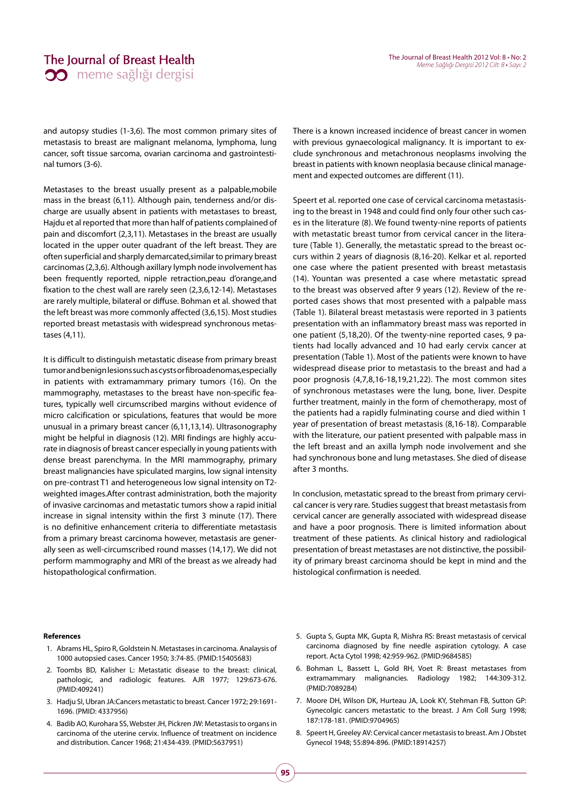and autopsy studies (1-3,6). The most common primary sites of metastasis to breast are malignant melanoma, lymphoma, lung cancer, soft tissue sarcoma, ovarian carcinoma and gastrointestinal tumors (3-6).

Metastases to the breast usually present as a palpable,mobile mass in the breast (6,11). Although pain, tenderness and/or discharge are usually absent in patients with metastases to breast, Hajdu et al reported that more than half of patients complained of pain and discomfort (2,3,11). Metastases in the breast are usually located in the upper outer quadrant of the left breast. They are often superficial and sharply demarcated,similar to primary breast carcinomas (2,3,6). Although axillary lymph node involvement has been frequently reported, nipple retraction,peau d'orange,and fixation to the chest wall are rarely seen (2,3,6,12-14). Metastases are rarely multiple, bilateral or diffuse. Bohman et al. showed that the left breast was more commonly affected (3,6,15). Most studies reported breast metastasis with widespread synchronous metastases (4,11).

It is difficult to distinguish metastatic disease from primary breast tumor and benign lesions such as cysts or fibroadenomas,especially in patients with extramammary primary tumors (16). On the mammography, metastases to the breast have non-specific features, typically well circumscribed margins without evidence of micro calcification or spiculations, features that would be more unusual in a primary breast cancer (6,11,13,14). Ultrasonography might be helpful in diagnosis (12). MRI findings are highly accurate in diagnosis of breast cancer especially in young patients with dense breast parenchyma. In the MRI mammography, primary breast malignancies have spiculated margins, low signal intensity on pre-contrast T1 and heterogeneous low signal intensity on T2 weighted images.After contrast administration, both the majority of invasive carcinomas and metastatic tumors show a rapid initial increase in signal intensity within the first 3 minute (17). There is no definitive enhancement criteria to differentiate metastasis from a primary breast carcinoma however, metastasis are generally seen as well-circumscribed round masses (14,17). We did not perform mammography and MRI of the breast as we already had histopathological confirmation.

There is a known increased incidence of breast cancer in women with previous gynaecological malignancy. It is important to exclude synchronous and metachronous neoplasms involving the breast in patients with known neoplasia because clinical management and expected outcomes are different (11).

Speert et al. reported one case of cervical carcinoma metastasising to the breast in 1948 and could find only four other such cases in the literature (8). We found twenty-nine reports of patients with metastatic breast tumor from cervical cancer in the literature (Table 1). Generally, the metastatic spread to the breast occurs within 2 years of diagnosis (8,16-20). Kelkar et al. reported one case where the patient presented with breast metastasis (14). Yountan was presented a case where metastatic spread to the breast was observed after 9 years (12). Review of the reported cases shows that most presented with a palpable mass (Table 1). Bilateral breast metastasis were reported in 3 patients presentation with an inflammatory breast mass was reported in one patient (5,18,20). Of the twenty-nine reported cases, 9 patients had locally advanced and 10 had early cervix cancer at presentation (Table 1). Most of the patients were known to have widespread disease prior to metastasis to the breast and had a poor prognosis (4,7,8,16-18,19,21,22). The most common sites of synchronous metastases were the lung, bone, liver. Despite further treatment, mainly in the form of chemotherapy, most of the patients had a rapidly fulminating course and died within 1 year of presentation of breast metastasis (8,16-18). Comparable with the literature, our patient presented with palpable mass in the left breast and an axilla lymph node involvement and she had synchronous bone and lung metastases. She died of disease after 3 months.

In conclusion, metastatic spread to the breast from primary cervical cancer is very rare. Studies suggest that breast metastasis from cervical cancer are generally associated with widespread disease and have a poor prognosis. There is limited information about treatment of these patients. As clinical history and radiological presentation of breast metastases are not distinctive, the possibility of primary breast carcinoma should be kept in mind and the histological confirmation is needed.

#### **References**

- 1. Abrams HL, Spiro R, Goldstein N. Metastases in carcinoma. Analaysis of 1000 autopsied cases. Cancer 1950; 3:74-85. (PMID:15405683)
- 2. Toombs BD, Kalisher L: Metastatic disease to the breast: clinical, pathologic, and radiologic features. AJR 1977; 129:673-676. (PMID:409241)
- 3. Hadju SI, Ubran JA:Cancers metastatic to breast. Cancer 1972; 29:1691- 1696. (PMID: 4337956)
- 4. Badib AO, Kurohara SS, Webster JH, Pickren JW: Metastasis to organs in carcinoma of the uterine cervix. Influence of treatment on incidence and distribution. Cancer 1968; 21:434-439. (PMID:5637951)
- 5. Gupta S, Gupta MK, Gupta R, Mishra RS: Breast metastasis of cervical carcinoma diagnosed by fine needle aspiration cytology. A case report. Acta Cytol 1998; 42:959-962. (PMID:9684585)
- 6. Bohman L, Bassett L, Gold RH, Voet R: Breast metastases from extramammary malignancies. Radiology 1982; 144:309-312. (PMID:7089284)
- 7. Moore DH, Wilson DK, Hurteau JA, Look KY, Stehman FB, Sutton GP: Gynecolgic cancers metastatic to the breast. J Am Coll Surg 1998; 187:178-181. (PMID:9704965)
- 8. Speert H, Greeley AV: Cervical cancer metastasis to breast. Am J Obstet Gynecol 1948; 55:894-896. (PMID:18914257)